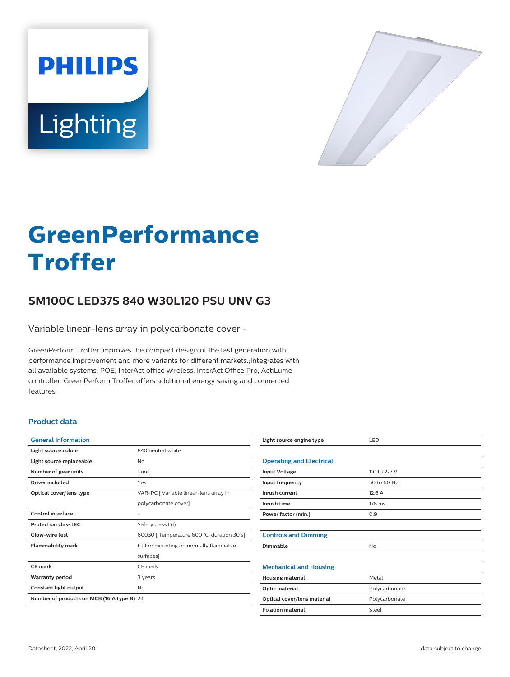



# **GreenPerformance Troffer**

# **SM100C LED37S 840 W30L120 PSU UNV G3**

Variable linear-lens array in polycarbonate cover -

GreenPerform Troffer improves the compact design of the last generation with performance improvement and more variants for different markets.;Integrates with all available systems: POE, InterAct office wireless, InterAct Office Pro, ActiLume controller, GreenPerform Troffer offers additional energy saving and connected features.

### **Product data**

| <b>General Information</b>                 |                                            |  |
|--------------------------------------------|--------------------------------------------|--|
| Light source colour                        | 840 neutral white                          |  |
| Light source replaceable                   | Nο                                         |  |
| Number of gear units                       | 1 unit                                     |  |
| Driver included                            | Yes                                        |  |
| Optical cover/lens type                    | VAR-PC [ Variable linear-lens array in     |  |
|                                            | polycarbonate cover]                       |  |
| Control interface                          |                                            |  |
| <b>Protection class IEC</b>                | Safety class I (I)                         |  |
| Glow-wire test                             | 60030 [ Temperature 600 °C, duration 30 s] |  |
| <b>Flammability mark</b>                   | F   For mounting on normally flammable     |  |
|                                            | surfaces]                                  |  |
| CE mark                                    | CE mark                                    |  |
| <b>Warranty period</b>                     | 3 years                                    |  |
| Constant light output                      | No                                         |  |
| Number of products on MCB (16 A type B) 24 |                                            |  |
|                                            |                                            |  |

| Light source engine type        | LED           |
|---------------------------------|---------------|
|                                 |               |
| <b>Operating and Electrical</b> |               |
| <b>Input Voltage</b>            | 110 to 277 V  |
| Input frequency                 | 50 to 60 Hz   |
| Inrush current                  | 12.6A         |
| Inrush time                     | 176 ms        |
| Power factor (min.)             | 0.9           |
|                                 |               |
| <b>Controls and Dimming</b>     |               |
| Dimmable                        | No            |
|                                 |               |
| <b>Mechanical and Housing</b>   |               |
| <b>Housing material</b>         | Metal         |
| Optic material                  | Polycarbonate |
| Optical cover/lens material     | Polycarbonate |
| <b>Fixation material</b>        | Steel         |
|                                 |               |